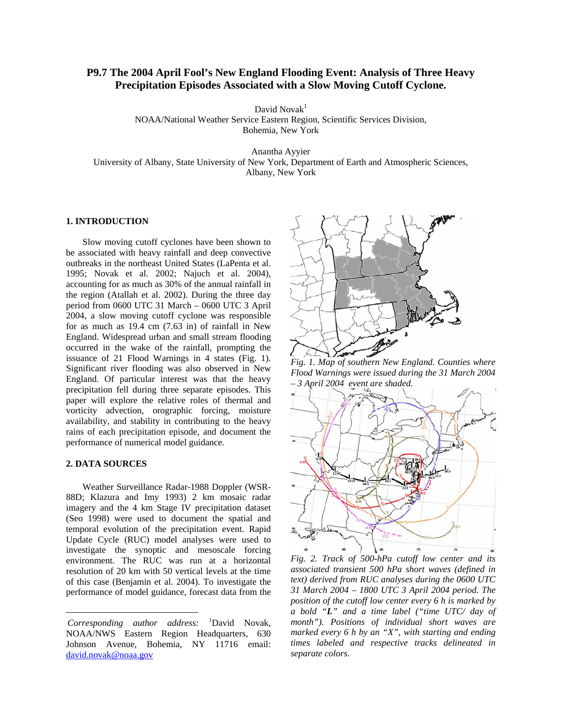# **P9.7 The 2004 April Fool's New England Flooding Event: Analysis of Three Heavy Precipitation Episodes Associated with a Slow Moving Cutoff Cyclone.**

David Nova $k<sup>1</sup>$ 

NOAA/National Weather Service Eastern Region, Scientific Services Division, Bohemia, New York

Anantha Ayyier

University of Albany, State University of New York, Department of Earth and Atmospheric Sciences, Albany, New York

## **1. INTRODUCTION**

Slow moving cutoff cyclones have been shown to be associated with heavy rainfall and deep convective outbreaks in the northeast United States (LaPenta et al. 1995; Novak et al. 2002; Najuch et al. 2004), accounting for as much as 30% of the annual rainfall in the region (Atallah et al. 2002). During the three day period from 0600 UTC 31 March – 0600 UTC 3 April 2004, a slow moving cutoff cyclone was responsible for as much as 19.4 cm (7.63 in) of rainfall in New England. Widespread urban and small stream flooding occurred in the wake of the rainfall, prompting the issuance of 21 Flood Warnings in 4 states (Fig. 1). Significant river flooding was also observed in New England. Of particular interest was that the heavy precipitation fell during three separate episodes. This paper will explore the relative roles of thermal and vorticity advection, orographic forcing, moisture availability, and stability in contributing to the heavy rains of each precipitation episode, and document the performance of numerical model guidance.

## **2. DATA SOURCES**

 $\overline{a}$ 

Weather Surveillance Radar-1988 Doppler (WSR-88D; Klazura and Imy 1993) 2 km mosaic radar imagery and the 4 km Stage IV precipitation dataset (Seo 1998) were used to document the spatial and temporal evolution of the precipitation event. Rapid Update Cycle (RUC) model analyses were used to investigate the synoptic and mesoscale forcing environment. The RUC was run at a horizontal resolution of 20 km with 50 vertical levels at the time of this case (Benjamin et al. 2004). To investigate the performance of model guidance, forecast data from the



*Fig. 1. Map of southern New England. Counties where Flood Warnings were issued during the 31 March 2004 – 3 April 2004 event are shaded.*



*Fig. 2. Track of 500-hPa cutoff low center and its associated transient 500 hPa short waves (defined in text) derived from RUC analyses during the 0600 UTC 31 March 2004 – 1800 UTC 3 April 2004 period. The position of the cutoff low center every 6 h is marked by a bold "L" and a time label ("time UTC/ day of month"). Positions of individual short waves are marked every 6 h by an "X", with starting and ending times labeled and respective tracks delineated in separate colors.* 

Corresponding author address: <sup>1</sup> David Novak, NOAA/NWS Eastern Region Headquarters, 630 Johnson Avenue, Bohemia, NY 11716 email: david.novak@noaa.gov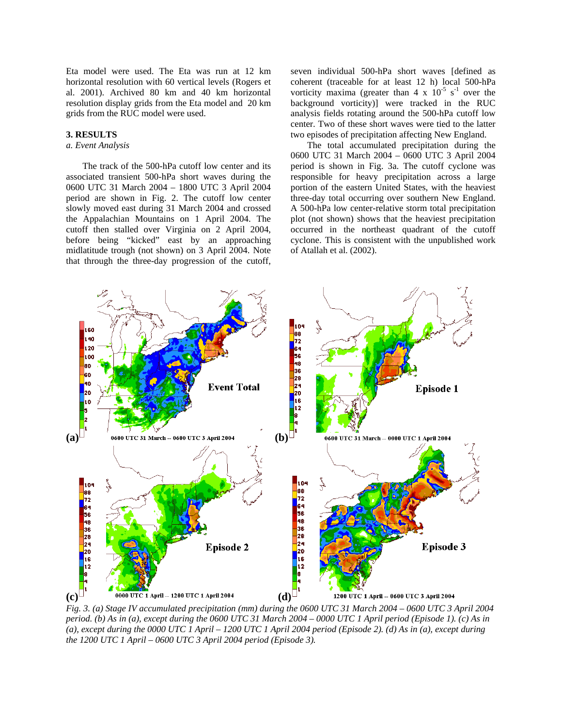Eta model were used. The Eta was run at 12 km horizontal resolution with 60 vertical levels (Rogers et al. 2001). Archived 80 km and 40 km horizontal resolution display grids from the Eta model and 20 km grids from the RUC model were used.

## **3. RESULTS**

# *a. Event Analysis*

The track of the 500-hPa cutoff low center and its associated transient 500-hPa short waves during the 0600 UTC 31 March 2004 – 1800 UTC 3 April 2004 period are shown in Fig. 2. The cutoff low center slowly moved east during 31 March 2004 and crossed the Appalachian Mountains on 1 April 2004. The cutoff then stalled over Virginia on 2 April 2004, before being "kicked" east by an approaching midlatitude trough (not shown) on 3 April 2004. Note that through the three-day progression of the cutoff,

seven individual 500-hPa short waves [defined as coherent (traceable for at least 12 h) local 500-hPa vorticity maxima (greater than  $4 \times 10^{-5}$  s<sup>-1</sup> over the background vorticity)] were tracked in the RUC analysis fields rotating around the 500-hPa cutoff low center. Two of these short waves were tied to the latter two episodes of precipitation affecting New England.

The total accumulated precipitation during the 0600 UTC 31 March 2004 – 0600 UTC 3 April 2004 period is shown in Fig. 3a. The cutoff cyclone was responsible for heavy precipitation across a large portion of the eastern United States, with the heaviest three-day total occurring over southern New England. A 500-hPa low center-relative storm total precipitation plot (not shown) shows that the heaviest precipitation occurred in the northeast quadrant of the cutoff cyclone. This is consistent with the unpublished work of Atallah et al. (2002).



*Fig. 3. (a) Stage IV accumulated precipitation (mm) during the 0600 UTC 31 March 2004 – 0600 UTC 3 April 2004 period. (b) As in (a), except during the 0600 UTC 31 March 2004 – 0000 UTC 1 April period (Episode 1). (c) As in (a), except during the 0000 UTC 1 April – 1200 UTC 1 April 2004 period (Episode 2). (d) As in (a), except during the 1200 UTC 1 April – 0600 UTC 3 April 2004 period (Episode 3).*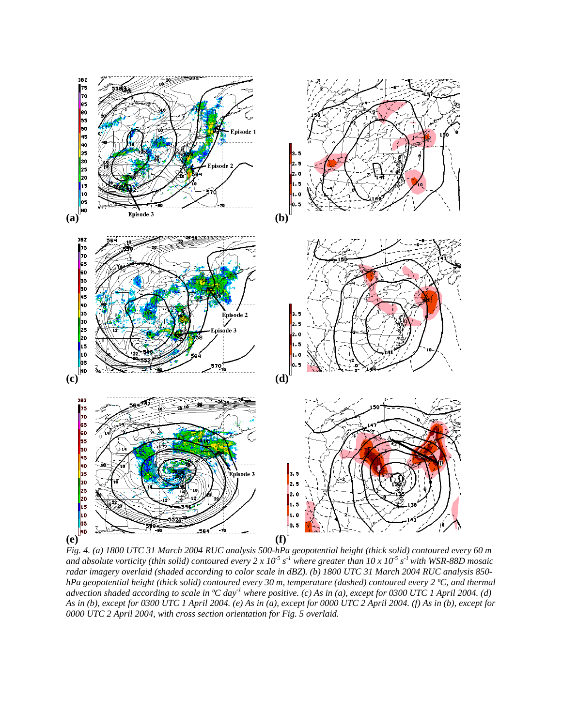

*Fig. 4. (a) 1800 UTC 31 March 2004 RUC analysis 500-hPa geopotential height (thick solid) contoured every 60 m*  and absolute vorticity (thin solid) contoured every  $2 \times 10^{-5}$  s<sup>-1</sup> where greater than  $10 \times 10^{-5}$  s<sup>-1</sup> with WSR-88D mosaic *radar imagery overlaid (shaded according to color scale in dBZ). (b) 1800 UTC 31 March 2004 RUC analysis 850 hPa geopotential height (thick solid) contoured every 30 m, temperature (dashed) contoured every 2 ºC, and thermal advection shaded according to scale in ºC day-1 where positive. (c) As in (a), except for 0300 UTC 1 April 2004. (d) As in (b), except for 0300 UTC 1 April 2004. (e) As in (a), except for 0000 UTC 2 April 2004. (f) As in (b), except for 0000 UTC 2 April 2004, with cross section orientation for Fig. 5 overlaid.*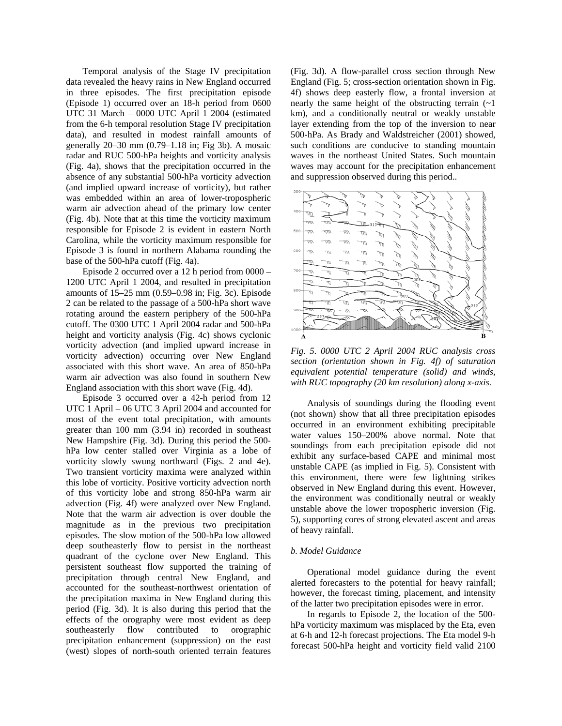Temporal analysis of the Stage IV precipitation data revealed the heavy rains in New England occurred in three episodes. The first precipitation episode (Episode 1) occurred over an 18-h period from 0600 UTC 31 March – 0000 UTC April 1 2004 (estimated from the 6-h temporal resolution Stage IV precipitation data), and resulted in modest rainfall amounts of generally 20–30 mm (0.79–1.18 in; Fig 3b). A mosaic radar and RUC 500-hPa heights and vorticity analysis (Fig. 4a), shows that the precipitation occurred in the absence of any substantial 500-hPa vorticity advection (and implied upward increase of vorticity), but rather was embedded within an area of lower-tropospheric warm air advection ahead of the primary low center (Fig. 4b). Note that at this time the vorticity maximum responsible for Episode 2 is evident in eastern North Carolina, while the vorticity maximum responsible for Episode 3 is found in northern Alabama rounding the base of the 500-hPa cutoff (Fig. 4a).

Episode 2 occurred over a 12 h period from 0000 – 1200 UTC April 1 2004, and resulted in precipitation amounts of 15–25 mm (0.59–0.98 in; Fig. 3c). Episode 2 can be related to the passage of a 500-hPa short wave rotating around the eastern periphery of the 500-hPa cutoff. The 0300 UTC 1 April 2004 radar and 500-hPa height and vorticity analysis (Fig. 4c) shows cyclonic vorticity advection (and implied upward increase in vorticity advection) occurring over New England associated with this short wave. An area of 850-hPa warm air advection was also found in southern New England association with this short wave (Fig. 4d).

Episode 3 occurred over a 42-h period from 12 UTC 1 April – 06 UTC 3 April 2004 and accounted for most of the event total precipitation, with amounts greater than 100 mm (3.94 in) recorded in southeast New Hampshire (Fig. 3d). During this period the 500 hPa low center stalled over Virginia as a lobe of vorticity slowly swung northward (Figs. 2 and 4e). Two transient vorticity maxima were analyzed within this lobe of vorticity. Positive vorticity advection north of this vorticity lobe and strong 850-hPa warm air advection (Fig. 4f) were analyzed over New England. Note that the warm air advection is over double the magnitude as in the previous two precipitation episodes. The slow motion of the 500-hPa low allowed deep southeasterly flow to persist in the northeast quadrant of the cyclone over New England. This persistent southeast flow supported the training of precipitation through central New England, and accounted for the southeast-northwest orientation of the precipitation maxima in New England during this period (Fig. 3d). It is also during this period that the effects of the orography were most evident as deep southeasterly flow contributed to orographic precipitation enhancement (suppression) on the east (west) slopes of north-south oriented terrain features

(Fig. 3d). A flow-parallel cross section through New England (Fig. 5; cross-section orientation shown in Fig. 4f) shows deep easterly flow, a frontal inversion at nearly the same height of the obstructing terrain  $(-1)$ km), and a conditionally neutral or weakly unstable layer extending from the top of the inversion to near 500-hPa. As Brady and Waldstreicher (2001) showed, such conditions are conducive to standing mountain waves in the northeast United States. Such mountain waves may account for the precipitation enhancement and suppression observed during this period..



*Fig. 5. 0000 UTC 2 April 2004 RUC analysis cross section (orientation shown in Fig. 4f) of saturation equivalent potential temperature (solid) and winds, with RUC topography (20 km resolution) along x-axis.* 

Analysis of soundings during the flooding event (not shown) show that all three precipitation episodes occurred in an environment exhibiting precipitable water values 150–200% above normal. Note that soundings from each precipitation episode did not exhibit any surface-based CAPE and minimal most unstable CAPE (as implied in Fig. 5). Consistent with this environment, there were few lightning strikes observed in New England during this event. However, the environment was conditionally neutral or weakly unstable above the lower tropospheric inversion (Fig. 5), supporting cores of strong elevated ascent and areas of heavy rainfall.

#### *b. Model Guidance*

Operational model guidance during the event alerted forecasters to the potential for heavy rainfall; however, the forecast timing, placement, and intensity of the latter two precipitation episodes were in error.

In regards to Episode 2, the location of the 500 hPa vorticity maximum was misplaced by the Eta, even at 6-h and 12-h forecast projections. The Eta model 9-h forecast 500-hPa height and vorticity field valid 2100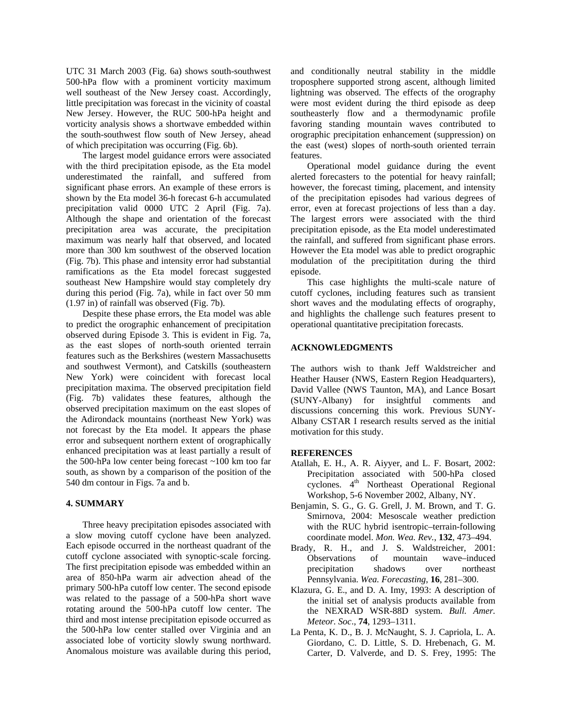UTC 31 March 2003 (Fig. 6a) shows south-southwest 500-hPa flow with a prominent vorticity maximum well southeast of the New Jersey coast. Accordingly, little precipitation was forecast in the vicinity of coastal New Jersey. However, the RUC 500-hPa height and vorticity analysis shows a shortwave embedded within the south-southwest flow south of New Jersey, ahead of which precipitation was occurring (Fig. 6b).

The largest model guidance errors were associated with the third precipitation episode, as the Eta model underestimated the rainfall, and suffered from significant phase errors. An example of these errors is shown by the Eta model 36-h forecast 6-h accumulated precipitation valid 0000 UTC 2 April (Fig. 7a). Although the shape and orientation of the forecast precipitation area was accurate, the precipitation maximum was nearly half that observed, and located more than 300 km southwest of the observed location (Fig. 7b). This phase and intensity error had substantial ramifications as the Eta model forecast suggested southeast New Hampshire would stay completely dry during this period (Fig. 7a), while in fact over 50 mm (1.97 in) of rainfall was observed (Fig. 7b).

Despite these phase errors, the Eta model was able to predict the orographic enhancement of precipitation observed during Episode 3. This is evident in Fig. 7a, as the east slopes of north-south oriented terrain features such as the Berkshires (western Massachusetts and southwest Vermont), and Catskills (southeastern New York) were coincident with forecast local precipitation maxima. The observed precipitation field (Fig. 7b) validates these features, although the observed precipitation maximum on the east slopes of the Adirondack mountains (northeast New York) was not forecast by the Eta model. It appears the phase error and subsequent northern extent of orographically enhanced precipitation was at least partially a result of the 500-hPa low center being forecast ~100 km too far south, as shown by a comparison of the position of the 540 dm contour in Figs. 7a and b.

# **4. SUMMARY**

Three heavy precipitation episodes associated with a slow moving cutoff cyclone have been analyzed. Each episode occurred in the northeast quadrant of the cutoff cyclone associated with synoptic-scale forcing. The first precipitation episode was embedded within an area of 850-hPa warm air advection ahead of the primary 500-hPa cutoff low center. The second episode was related to the passage of a 500-hPa short wave rotating around the 500-hPa cutoff low center. The third and most intense precipitation episode occurred as the 500-hPa low center stalled over Virginia and an associated lobe of vorticity slowly swung northward. Anomalous moisture was available during this period,

and conditionally neutral stability in the middle troposphere supported strong ascent, although limited lightning was observed. The effects of the orography were most evident during the third episode as deep southeasterly flow and a thermodynamic profile favoring standing mountain waves contributed to orographic precipitation enhancement (suppression) on the east (west) slopes of north-south oriented terrain features.

Operational model guidance during the event alerted forecasters to the potential for heavy rainfall; however, the forecast timing, placement, and intensity of the precipitation episodes had various degrees of error, even at forecast projections of less than a day. The largest errors were associated with the third precipitation episode, as the Eta model underestimated the rainfall, and suffered from significant phase errors. However the Eta model was able to predict orographic modulation of the precipititation during the third episode.

This case highlights the multi-scale nature of cutoff cyclones, including features such as transient short waves and the modulating effects of orography, and highlights the challenge such features present to operational quantitative precipitation forecasts.

# **ACKNOWLEDGMENTS**

The authors wish to thank Jeff Waldstreicher and Heather Hauser (NWS, Eastern Region Headquarters), David Vallee (NWS Taunton, MA), and Lance Bosart (SUNY-Albany) for insightful comments and discussions concerning this work. Previous SUNY-Albany CSTAR I research results served as the initial motivation for this study.

## **REFERENCES**

- Atallah, E. H., A. R. Aiyyer, and L. F. Bosart, 2002: Precipitation associated with 500-hPa closed cyclones. 4<sup>th</sup> Northeast Operational Regional Workshop, 5-6 November 2002, Albany, NY.
- Benjamin, S. G., G. G. Grell, J. M. Brown, and T. G. Smirnova, 2004: Mesoscale weather prediction with the RUC hybrid isentropic–terrain-following coordinate model. *Mon. Wea. Rev.*, **132**, 473–494.
- Brady, R. H., and J. S. Waldstreicher, 2001: Observations of mountain wave–induced precipitation shadows over northeast Pennsylvania. *Wea. Forecasting*, **16**, 281–300.
- Klazura, G. E., and D. A. Imy, 1993: A description of the initial set of analysis products available from the NEXRAD WSR-88D system. *Bull. Amer. Meteor. Soc*., **74**, 1293–1311.
- La Penta, K. D., B. J. McNaught, S. J. Capriola, L. A. Giordano, C. D. Little, S. D. Hrebenach, G. M. Carter, D. Valverde, and D. S. Frey, 1995: The